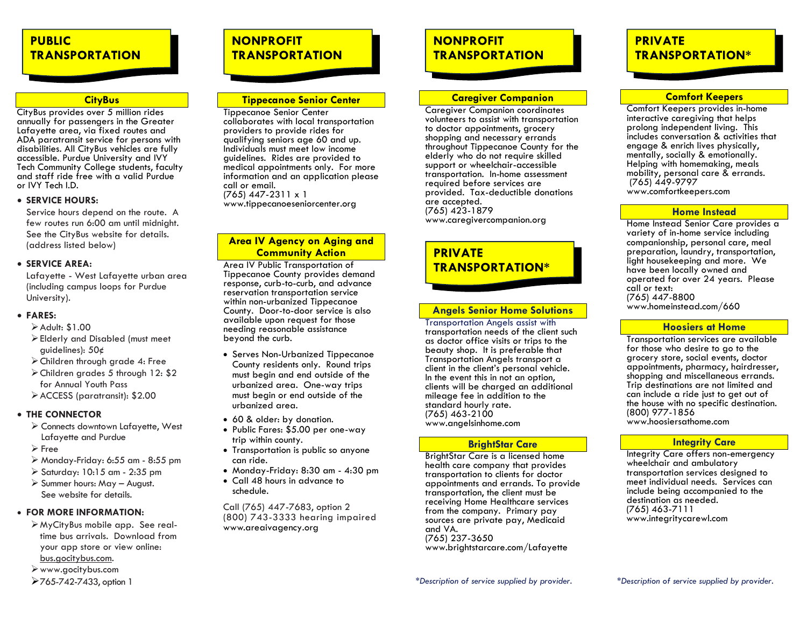# **PUBLIC TRANSPORTATION**

#### **CityBus**

CityBus provides over 5 million rides annually for passengers in the Greater Lafayette area, via fixed routes and ADA paratransit service for persons with disabilities. All CityBus vehicles are fully accessible. Purdue University and IVY Tech Community College students, faculty and staff ride free with a valid Purdue or IVY Tech I.D.

#### • **SERVICE HOURS:**

Service hours depend on the route. A few routes run 6:00 am until midnight. See the CityBus website for details. (address listed below)

#### • **SERVICE AREA:**

Lafayette - West Lafayette urban area (including campus loops for Purdue University).

#### • **FARES:**

- ➢Adult: \$1.00
- ➢Elderly and Disabled (must meet guidelines): 50¢
- ➢Children through grade 4: Free
- ➢Children grades 5 through 12: \$2 for Annual Youth Pass
- ➢ACCESS (paratransit): \$2.00

#### • **THE CONNECTOR**

- ➢ Connects downtown Lafayette, West Lafayette and Purdue
- ➢ Free
- ➢ Monday-Friday: 6:55 am 8:55 pm
- ➢ Saturday: 10:15 am 2:35 pm
- ➢ Summer hours: May August. See website for details.

#### • **FOR MORE INFORMATION:**

- ➢MyCityBus mobile app. See realtime bus arrivals. Download from your app store or view online: bus.gocitybus.com.
- ➢www.gocitybus.com

#### ➢765-742-7433, option 1

# **NONPROFIT TRANSPORTATION**

#### **Tippecanoe Senior Center**

Tippecanoe Senior Center collaborates with local transportation providers to provide rides for qualifying seniors age 60 and up. Individuals must meet low income guidelines. Rides are provided to medical appointments only. For more information and an application please call or email. (765) 447-2311 x 1 www.tippecanoeseniorcenter.org

#### **Area IV Agency on Aging and Community Action**

Area IV Public Transportation of Tippecanoe County provides demand response, curb-to-curb, and advance reservation transportation service within non-urbanized Tippecanoe County. Door-to-door service is also available upon request for those needing reasonable assistance beyond the curb.

- Serves Non-Urbanized Tippecanoe County residents only. Round trips must begin and end outside of the urbanized area. One-way trips must begin or end outside of the urbanized area.
- 60 & older: by donation.
- Public Fares: \$5.00 per one-way trip within county.
- Transportation is public so anyone can ride.
- Monday-Friday: 8:30 am 4:30 pm
- Call 48 hours in advance to schedule.

Call (765) 447-7683, option 2 (800) 743-3333 hearing impaired www.areaivagency.org

# **NONPROFIT TRANSPORTATION**

#### **Caregiver Companion**

Caregiver Companion coordinates volunteers to assist with transportation to doctor appointments, grocery shopping and necessary errands throughout Tippecanoe County for the elderly who do not require skilled support or wheelchair-accessible transportation. In-home assessment required before services are provided. Tax-deductible donations are accepted. (765) 423-1879 www.caregivercompanion.org

### **PRIVATE TRANSPORTATION\***

#### **Angels Senior Home Solutions**

Transportation Angels assist with transportation needs of the client such as doctor office visits or trips to the beauty shop. It is preferable that Transportation Angels transport a client in the client's personal vehicle. In the event this in not an option, clients will be charged an additional mileage fee in addition to the standard hourly rate. (765) 463-2100 www.angelsinhome.com

#### **BrightStar Care**

BrightStar Care is a licensed home health care company that provides transportation to clients for doctor appointments and errands. To provide transportation, the client must be receiving Home Healthcare services from the company. Primary pay sources are private pay, Medicaid and VA. (765) 237-3650 www.brightstarcare.com/Lafayette

# **PRIVATE TRANSPORTATION\***

#### **Comfort Keepers**

Comfort Keepers provides in-home interactive caregiving that helps prolong independent living. This includes conversation & activities that engage & enrich lives physically, mentally, socially & emotionally.  $He$ lping with homemaking, meals mobility, personal care & errands. (765) 449-9797 www.comfortkeepers.com

#### **Home Instead**

Home Instead Senior Care provides a variety of in-home service including companionship, personal care, meal preparation, laundry, transportation, light housekeeping and more. We have been locally owned and operated for over 24 years. Please call or text: (765) 447-8800 www.homeinstead.com/660

#### **Hoosiers at Home**

Transportation services are available for those who desire to go to the grocery store, social events, doctor appointments, pharmacy, hairdresser, shopping and miscellaneous errands. Trip destinations are not limited and can include a ride just to get out of the house with no specific destination. (800) 977-1856 www.hoosiersathome.com

#### **Integrity Care**

**Integrity Care offers non-emergency** wheelchair and ambulatory transportation services designed to meet individual needs. Services can include being accompanied to the destination as needed. (765) 463-7111 www.integritycarewl.com